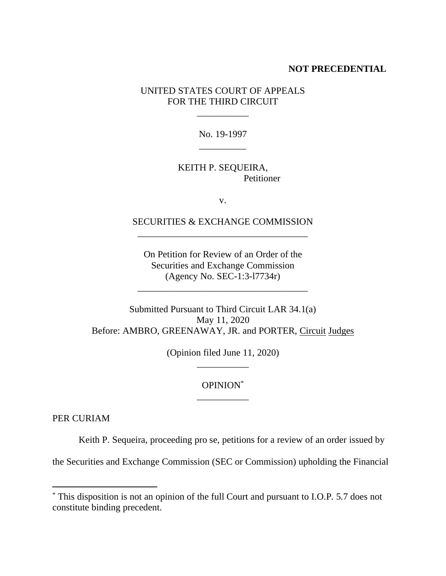## **NOT PRECEDENTIAL**

UNITED STATES COURT OF APPEALS FOR THE THIRD CIRCUIT

\_\_\_\_\_\_\_\_\_\_\_

No. 19-1997 \_\_\_\_\_\_\_\_\_\_

## KEITH P. SEQUEIRA, Petitioner

v.

## SECURITIES & EXCHANGE COMMISSION \_\_\_\_\_\_\_\_\_\_\_\_\_\_\_\_\_\_\_\_\_\_\_\_\_\_\_\_\_\_\_\_\_\_\_\_

On Petition for Review of an Order of the Securities and Exchange Commission (Agency No. SEC-1:3-l7734r)

\_\_\_\_\_\_\_\_\_\_\_\_\_\_\_\_\_\_\_\_\_\_\_\_\_\_\_\_\_\_\_\_\_\_\_\_

Submitted Pursuant to Third Circuit LAR 34.1(a) May 11, 2020 Before: AMBRO, GREENAWAY, JR. and PORTER, Circuit Judges

> (Opinion filed June 11, 2020) \_\_\_\_\_\_\_\_\_\_\_

## OPINION\* \_\_\_\_\_\_\_\_\_\_\_

PER CURIAM

Keith P. Sequeira, proceeding pro se, petitions for a review of an order issued by

the Securities and Exchange Commission (SEC or Commission) upholding the Financial

<sup>\*</sup> This disposition is not an opinion of the full Court and pursuant to I.O.P. 5.7 does not constitute binding precedent.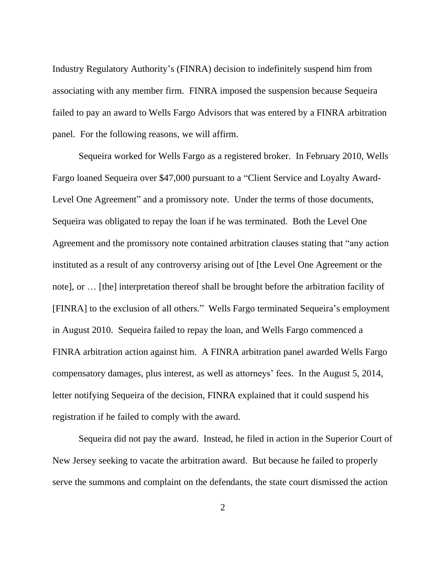Industry Regulatory Authority's (FINRA) decision to indefinitely suspend him from associating with any member firm. FINRA imposed the suspension because Sequeira failed to pay an award to Wells Fargo Advisors that was entered by a FINRA arbitration panel. For the following reasons, we will affirm.

Sequeira worked for Wells Fargo as a registered broker. In February 2010, Wells Fargo loaned Sequeira over \$47,000 pursuant to a "Client Service and Loyalty Award-Level One Agreement" and a promissory note. Under the terms of those documents, Sequeira was obligated to repay the loan if he was terminated. Both the Level One Agreement and the promissory note contained arbitration clauses stating that "any action instituted as a result of any controversy arising out of [the Level One Agreement or the note], or … [the] interpretation thereof shall be brought before the arbitration facility of [FINRA] to the exclusion of all others." Wells Fargo terminated Sequeira's employment in August 2010. Sequeira failed to repay the loan, and Wells Fargo commenced a FINRA arbitration action against him. A FINRA arbitration panel awarded Wells Fargo compensatory damages, plus interest, as well as attorneys' fees. In the August 5, 2014, letter notifying Sequeira of the decision, FINRA explained that it could suspend his registration if he failed to comply with the award.

Sequeira did not pay the award. Instead, he filed in action in the Superior Court of New Jersey seeking to vacate the arbitration award. But because he failed to properly serve the summons and complaint on the defendants, the state court dismissed the action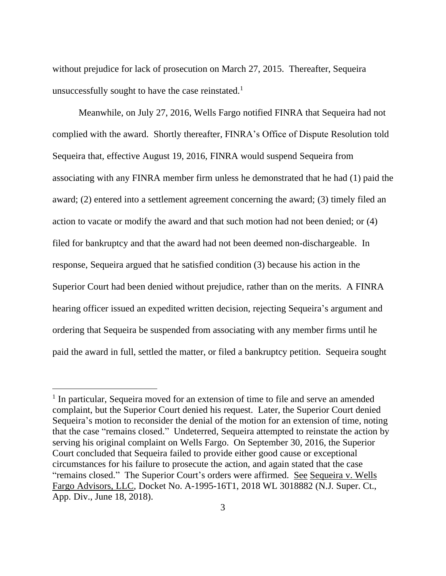without prejudice for lack of prosecution on March 27, 2015. Thereafter, Sequeira unsuccessfully sought to have the case reinstated.<sup>1</sup>

Meanwhile, on July 27, 2016, Wells Fargo notified FINRA that Sequeira had not complied with the award. Shortly thereafter, FINRA's Office of Dispute Resolution told Sequeira that, effective August 19, 2016, FINRA would suspend Sequeira from associating with any FINRA member firm unless he demonstrated that he had (1) paid the award; (2) entered into a settlement agreement concerning the award; (3) timely filed an action to vacate or modify the award and that such motion had not been denied; or (4) filed for bankruptcy and that the award had not been deemed non-dischargeable. In response, Sequeira argued that he satisfied condition (3) because his action in the Superior Court had been denied without prejudice, rather than on the merits. A FINRA hearing officer issued an expedited written decision, rejecting Sequeira's argument and ordering that Sequeira be suspended from associating with any member firms until he paid the award in full, settled the matter, or filed a bankruptcy petition. Sequeira sought

<sup>&</sup>lt;sup>1</sup> In particular, Sequeira moved for an extension of time to file and serve an amended complaint, but the Superior Court denied his request. Later, the Superior Court denied Sequeira's motion to reconsider the denial of the motion for an extension of time, noting that the case "remains closed." Undeterred, Sequeira attempted to reinstate the action by serving his original complaint on Wells Fargo. On September 30, 2016, the Superior Court concluded that Sequeira failed to provide either good cause or exceptional circumstances for his failure to prosecute the action, and again stated that the case "remains closed." The Superior Court's orders were affirmed. See Sequeira v. Wells Fargo Advisors, LLC, Docket No. A-1995-16T1, 2018 WL 3018882 (N.J. Super. Ct., App. Div., June 18, 2018).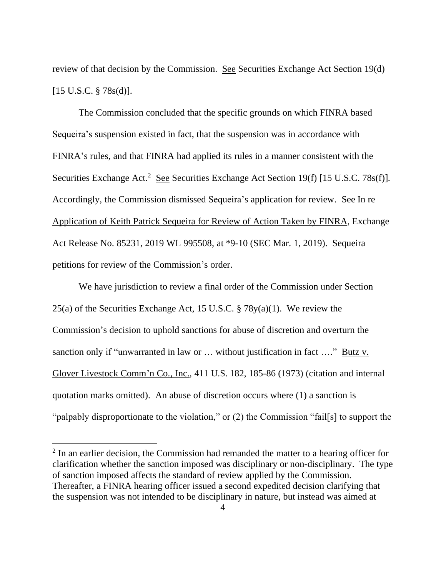review of that decision by the Commission. See Securities Exchange Act Section 19(d) [15 U.S.C. § 78s(d)].

The Commission concluded that the specific grounds on which FINRA based Sequeira's suspension existed in fact, that the suspension was in accordance with FINRA's rules, and that FINRA had applied its rules in a manner consistent with the Securities Exchange Act.<sup>2</sup> See Securities Exchange Act Section 19(f) [15 U.S.C. 78s(f)]. Accordingly, the Commission dismissed Sequeira's application for review. See In re Application of Keith Patrick Sequeira for Review of Action Taken by FINRA, Exchange Act Release No. 85231, 2019 WL 995508, at \*9-10 (SEC Mar. 1, 2019). Sequeira petitions for review of the Commission's order.

We have jurisdiction to review a final order of the Commission under Section 25(a) of the Securities Exchange Act, 15 U.S.C. § 78y(a)(1). We review the Commission's decision to uphold sanctions for abuse of discretion and overturn the sanction only if "unwarranted in law or … without justification in fact …." Butz v. Glover Livestock Comm'n Co., Inc., 411 U.S. 182, 185-86 (1973) (citation and internal quotation marks omitted). An abuse of discretion occurs where (1) a sanction is "palpably disproportionate to the violation," or (2) the Commission "fail[s] to support the

 $2$  In an earlier decision, the Commission had remanded the matter to a hearing officer for clarification whether the sanction imposed was disciplinary or non-disciplinary. The type of sanction imposed affects the standard of review applied by the Commission. Thereafter, a FINRA hearing officer issued a second expedited decision clarifying that the suspension was not intended to be disciplinary in nature, but instead was aimed at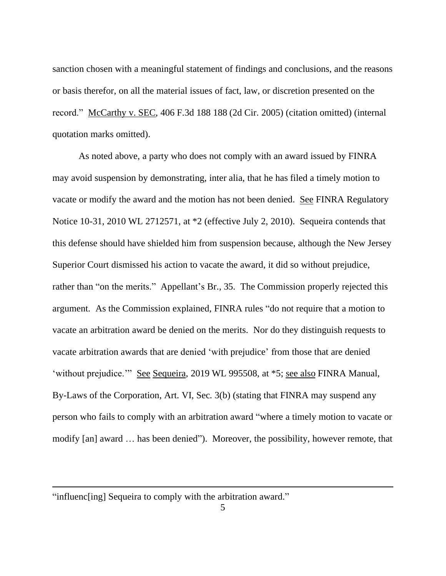sanction chosen with a meaningful statement of findings and conclusions, and the reasons or basis therefor, on all the material issues of fact, law, or discretion presented on the record." McCarthy v. SEC, 406 F.3d 188 188 (2d Cir. 2005) (citation omitted) (internal quotation marks omitted).

As noted above, a party who does not comply with an award issued by FINRA may avoid suspension by demonstrating, inter alia, that he has filed a timely motion to vacate or modify the award and the motion has not been denied. See FINRA Regulatory Notice 10-31, 2010 WL 2712571, at \*2 (effective July 2, 2010). Sequeira contends that this defense should have shielded him from suspension because, although the New Jersey Superior Court dismissed his action to vacate the award, it did so without prejudice, rather than "on the merits." Appellant's Br., 35. The Commission properly rejected this argument. As the Commission explained, FINRA rules "do not require that a motion to vacate an arbitration award be denied on the merits. Nor do they distinguish requests to vacate arbitration awards that are denied 'with prejudice' from those that are denied 'without prejudice.'" See Sequeira, 2019 WL 995508, at \*5; see also FINRA Manual, By-Laws of the Corporation, Art. VI, Sec. 3(b) (stating that FINRA may suspend any person who fails to comply with an arbitration award "where a timely motion to vacate or modify [an] award … has been denied"). Moreover, the possibility, however remote, that

<sup>&</sup>quot;influenc[ing] Sequeira to comply with the arbitration award."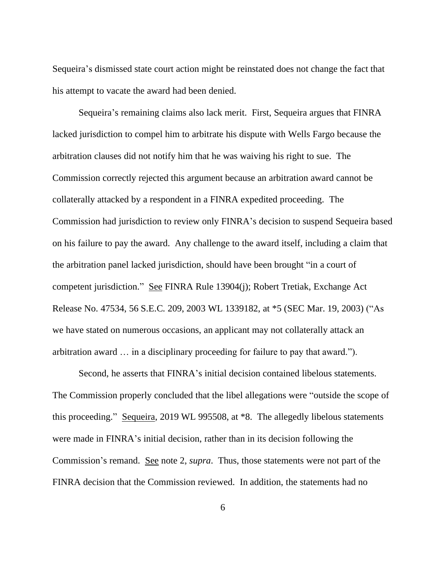Sequeira's dismissed state court action might be reinstated does not change the fact that his attempt to vacate the award had been denied.

Sequeira's remaining claims also lack merit. First, Sequeira argues that FINRA lacked jurisdiction to compel him to arbitrate his dispute with Wells Fargo because the arbitration clauses did not notify him that he was waiving his right to sue. The Commission correctly rejected this argument because an arbitration award cannot be collaterally attacked by a respondent in a FINRA expedited proceeding. The Commission had jurisdiction to review only FINRA's decision to suspend Sequeira based on his failure to pay the award. Any challenge to the award itself, including a claim that the arbitration panel lacked jurisdiction, should have been brought "in a court of competent jurisdiction." See FINRA Rule 13904(j); Robert Tretiak, Exchange Act Release No. 47534, 56 S.E.C. 209, 2003 WL 1339182, at \*5 (SEC Mar. 19, 2003) ("As we have stated on numerous occasions, an applicant may not collaterally attack an arbitration award … in a disciplinary proceeding for failure to pay that award.").

Second, he asserts that FINRA's initial decision contained libelous statements. The Commission properly concluded that the libel allegations were "outside the scope of this proceeding." Sequeira, 2019 WL 995508, at \*8. The allegedly libelous statements were made in FINRA's initial decision, rather than in its decision following the Commission's remand. See note 2, *supra*. Thus, those statements were not part of the FINRA decision that the Commission reviewed. In addition, the statements had no